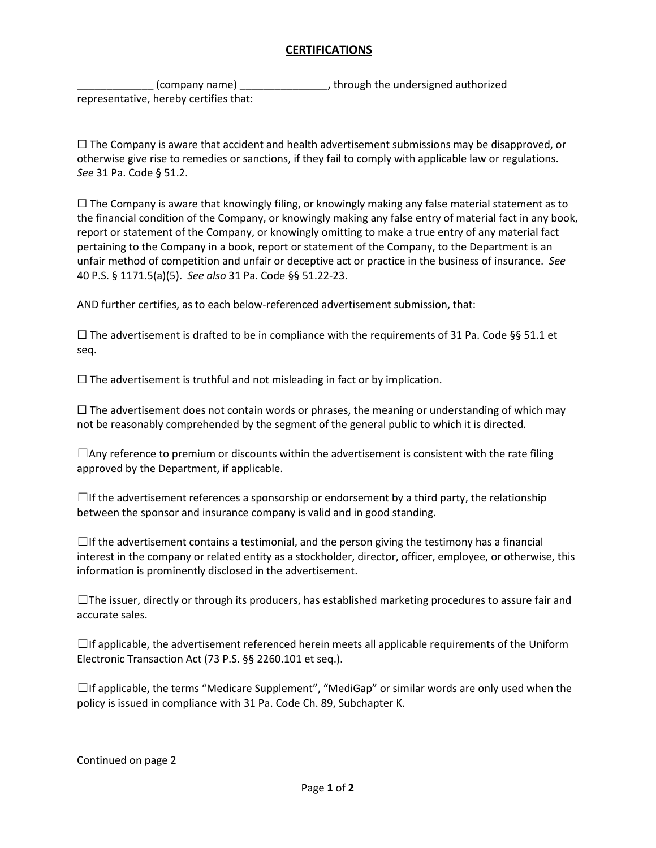## **CERTIFICATIONS**

(company name) \_\_\_\_\_\_\_\_\_\_\_\_\_\_\_\_, through the undersigned authorized representative, hereby certifies that:

 $\Box$  The Company is aware that accident and health advertisement submissions may be disapproved, or otherwise give rise to remedies or sanctions, if they fail to comply with applicable law or regulations. *See* 31 Pa. Code § 51.2.

 $\Box$  The Company is aware that knowingly filing, or knowingly making any false material statement as to the financial condition of the Company, or knowingly making any false entry of material fact in any book, report or statement of the Company, or knowingly omitting to make a true entry of any material fact pertaining to the Company in a book, report or statement of the Company, to the Department is an unfair method of competition and unfair or deceptive act or practice in the business of insurance. *See* 40 P.S. § 1171.5(a)(5). *See also* 31 Pa. Code §§ 51.22-23.

AND further certifies, as to each below-referenced advertisement submission, that:

 $□$  The advertisement is drafted to be in compliance with the requirements of 31 Pa. Code §§ 51.1 et seq.

 $\Box$  The advertisement is truthful and not misleading in fact or by implication.

 $\Box$  The advertisement does not contain words or phrases, the meaning or understanding of which may not be reasonably comprehended by the segment of the general public to which it is directed.

 $\Box$ Any reference to premium or discounts within the advertisement is consistent with the rate filing approved by the Department, if applicable.

 $\Box$ If the advertisement references a sponsorship or endorsement by a third party, the relationship between the sponsor and insurance company is valid and in good standing.

 $\Box$ If the advertisement contains a testimonial, and the person giving the testimony has a financial interest in the company or related entity as a stockholder, director, officer, employee, or otherwise, this information is prominently disclosed in the advertisement.

 $\Box$ The issuer, directly or through its producers, has established marketing procedures to assure fair and accurate sales.

 $\Box$ If applicable, the advertisement referenced herein meets all applicable requirements of the Uniform Electronic Transaction Act (73 P.S. §§ 2260.101 et seq.).

☐If applicable, the terms "Medicare Supplement", "MediGap" or similar words are only used when the policy is issued in compliance with 31 Pa. Code Ch. 89, Subchapter K.